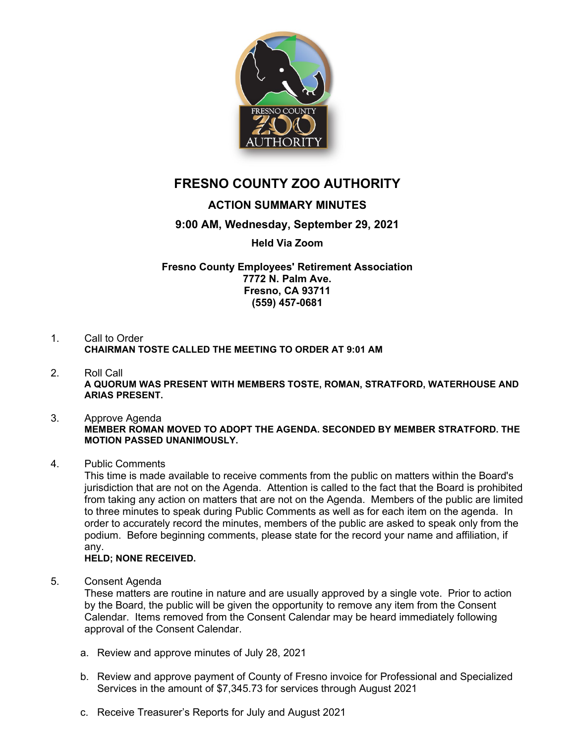

# **FRESNO COUNTY ZOO AUTHORITY**

## **ACTION SUMMARY MINUTES**

### **9:00 AM, Wednesday, September 29, 2021**

#### **Held Via Zoom**

#### **Fresno County Employees' Retirement Association 7772 N. Palm Ave. Fresno, CA 93711 (559) 457-0681**

- 1. Call to Order **CHAIRMAN TOSTE CALLED THE MEETING TO ORDER AT 9:01 AM**
- 2. Roll Call **A QUORUM WAS PRESENT WITH MEMBERS TOSTE, ROMAN, STRATFORD, WATERHOUSE AND ARIAS PRESENT.**

#### 3. Approve Agenda **MEMBER ROMAN MOVED TO ADOPT THE AGENDA. SECONDED BY MEMBER STRATFORD. THE MOTION PASSED UNANIMOUSLY.**

#### 4. Public Comments

This time is made available to receive comments from the public on matters within the Board's jurisdiction that are not on the Agenda. Attention is called to the fact that the Board is prohibited from taking any action on matters that are not on the Agenda. Members of the public are limited to three minutes to speak during Public Comments as well as for each item on the agenda. In order to accurately record the minutes, members of the public are asked to speak only from the podium. Before beginning comments, please state for the record your name and affiliation, if any.

#### **HELD; NONE RECEIVED.**

5. Consent Agenda

These matters are routine in nature and are usually approved by a single vote. Prior to action by the Board, the public will be given the opportunity to remove any item from the Consent Calendar. Items removed from the Consent Calendar may be heard immediately following approval of the Consent Calendar.

- a. Review and approve minutes of July 28, 2021
- b. Review and approve payment of County of Fresno invoice for Professional and Specialized Services in the amount of \$7,345.73 for services through August 2021
- c. Receive Treasurer's Reports for July and August 2021